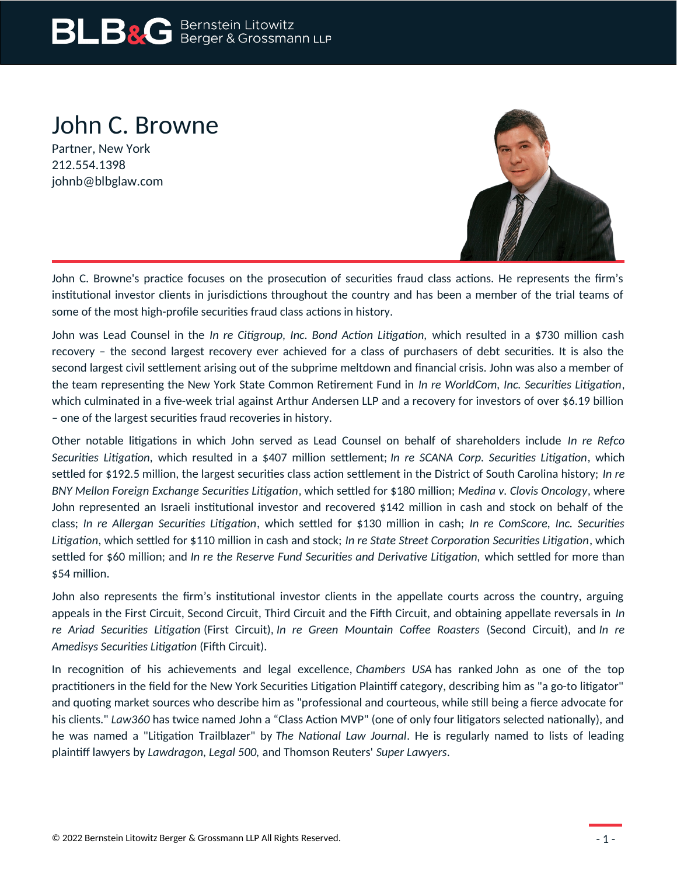# **BLB&G** Bernstein Litowitz

# John C. Browne

Partner, New York 212.554.1398 johnb@blbglaw.com



John C. Browne's practice focuses on the prosecution of securities fraud class actions. He represents the firm's institutional investor clients in jurisdictions throughout the country and has been a member of the trial teams of some of the most high-profile securities fraud class actions in history.

John was Lead Counsel in the *In re Citigroup, Inc. Bond Action Litigation,* which resulted in a \$730 million cash recovery – the second largest recovery ever achieved for a class of purchasers of debt securities. It is also the second largest civil settlement arising out of the subprime meltdown and financial crisis. John was also a member of the team representing the New York State Common Retirement Fund in *In re WorldCom, Inc. Securities Litigation*, which culminated in a five-week trial against Arthur Andersen LLP and a recovery for investors of over \$6.19 billion – one of the largest securities fraud recoveries in history.

Other notable litigations in which John served as Lead Counsel on behalf of shareholders include *In re Refco Securities Litigation,* which resulted in a \$407 million settlement; *In re SCANA Corp. Securities Litigation*, which settled for \$192.5 million, the largest securities class action settlement in the District of South Carolina history; *In re BNY Mellon Foreign Exchange Securities Litigation*, which settled for \$180 million; *Medina v. Clovis Oncology*, where John represented an Israeli institutional investor and recovered \$142 million in cash and stock on behalf of the class; *In re Allergan Securities Litigation*, which settled for \$130 million in cash; *In re ComScore, Inc. Securities Litigation*, which settled for \$110 million in cash and stock; *In re State Street Corporation Securities Litigation*, which settled for \$60 million; and *In re the Reserve Fund Securities and Derivative Litigation,* which settled for more than \$54 million.

John also represents the firm's institutional investor clients in the appellate courts across the country, arguing appeals in the First Circuit, Second Circuit, Third Circuit and the Fifth Circuit, and obtaining appellate reversals in *In re Ariad Securities Litigation* (First Circuit), *In re Green Mountain Coffee Roasters* (Second Circuit), and *In re Amedisys Securities Litigation* (Fifth Circuit).

In recognition of his achievements and legal excellence, *Chambers USA* has ranked John as one of the top practitioners in the field for the New York Securities Litigation Plaintiff category, describing him as "a go-to litigator" and quoting market sources who describe him as "professional and courteous, while still being a fierce advocate for his clients." *Law360* has twice named John a "Class Action MVP" (one of only four litigators selected nationally), and he was named a "Litigation Trailblazer" by *The National Law Journal*. He is regularly named to lists of leading plaintiff lawyers by *Lawdragon, Legal 500,* and Thomson Reuters' *Super Lawyers*.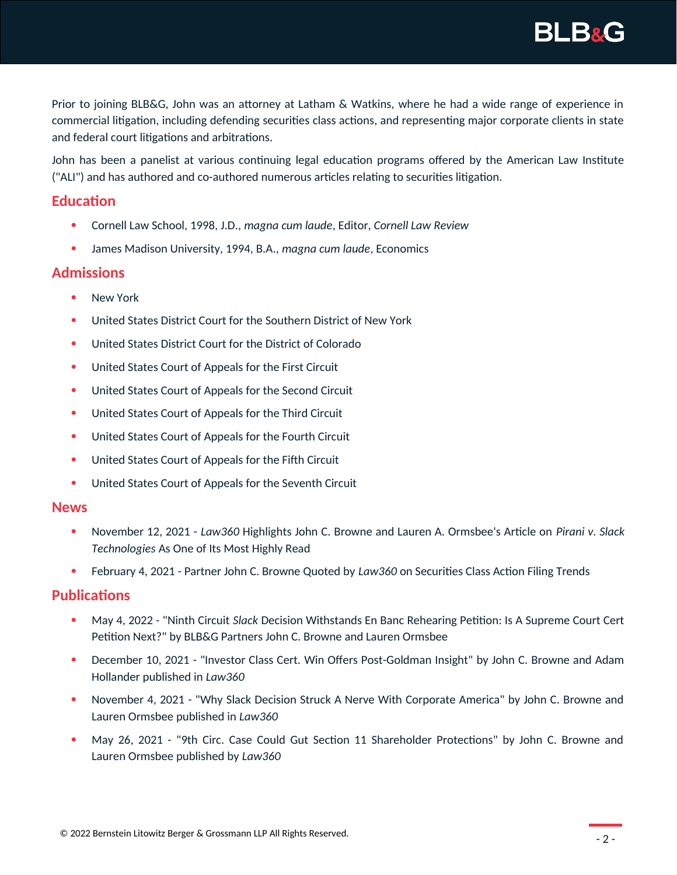**BLB&G** 

Prior to joining BLB&G, John was an attorney at Latham & Watkins, where he had a wide range of experience in commercial litigation, including defending securities class actions, and representing major corporate clients in state and federal court litigations and arbitrations.

John has been a panelist at various continuing legal education programs offered by the American Law Institute ("ALI") and has authored and co-authored numerous articles relating to securities litigation.

# **Education**

- Cornell Law School, 1998, J.D., *magna cum laude*, Editor, *Cornell Law Review*
- James Madison University, 1994, B.A., *magna cum laude*, Economics

## **Admissions**

- New York
- United States District Court for the Southern District of New York
- United States District Court for the District of Colorado
- United States Court of Appeals for the First Circuit
- United States Court of Appeals for the Second Circuit
- United States Court of Appeals for the Third Circuit
- United States Court of Appeals for the Fourth Circuit
- United States Court of Appeals for the Fifth Circuit
- United States Court of Appeals for the Seventh Circuit

#### **News**

- November 12, 2021 *Law360* Highlights John C. Browne and Lauren A. Ormsbee's Article on *Pirani v. Slack Technologies* As One of Its Most Highly Read
- February 4, 2021 Partner John C. Browne Quoted by *Law360* on Securities Class Action Filing Trends

### **Publications**

- May 4, 2022 "Ninth Circuit *Slack* Decision Withstands En Banc Rehearing Petition: Is A Supreme Court Cert Petition Next?" by BLB&G Partners John C. Browne and Lauren Ormsbee
- December 10, 2021 "Investor Class Cert. Win Offers Post-Goldman Insight" by John C. Browne and Adam Hollander published in *Law360*
- November 4, 2021 "Why Slack Decision Struck A Nerve With Corporate America" by John C. Browne and Lauren Ormsbee published in *Law360*
- May 26, 2021 "9th Circ. Case Could Gut Section 11 Shareholder Protections" by John C. Browne and Lauren Ormsbee published by *Law360*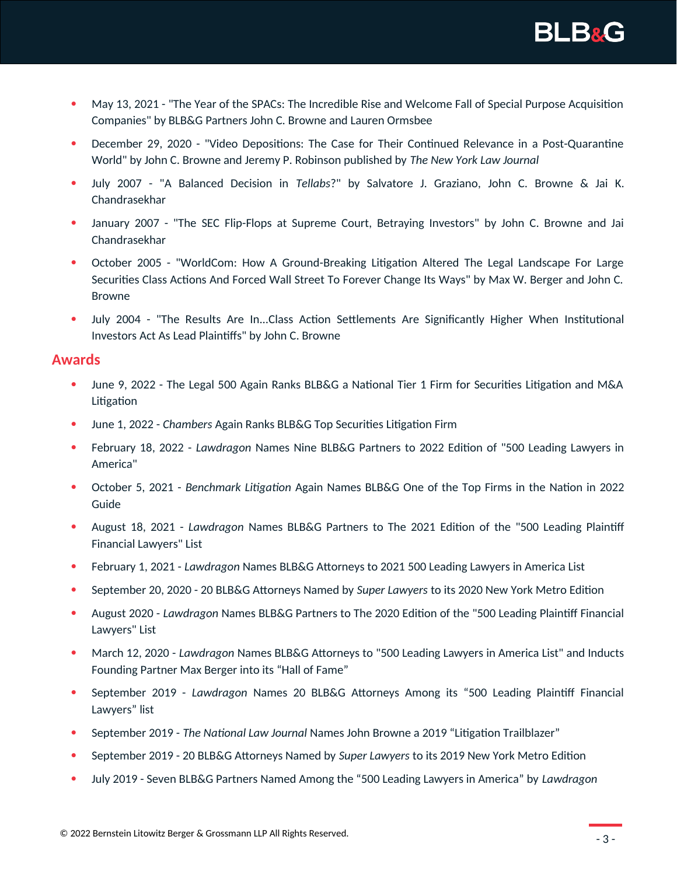

- May 13, 2021 "The Year of the SPACs: The Incredible Rise and Welcome Fall of Special Purpose Acquisition Companies" by BLB&G Partners John C. Browne and Lauren Ormsbee
- December 29, 2020 "Video Depositions: The Case for Their Continued Relevance in a Post-Quarantine World" by John C. Browne and Jeremy P. Robinson published by *The New York Law Journal*
- July 2007 "A Balanced Decision in *Tellabs*?" by Salvatore J. Graziano, John C. Browne & Jai K. Chandrasekhar
- January 2007 "The SEC Flip-Flops at Supreme Court, Betraying Investors" by John C. Browne and Jai Chandrasekhar
- October 2005 "WorldCom: How A Ground-Breaking Litigation Altered The Legal Landscape For Large Securities Class Actions And Forced Wall Street To Forever Change Its Ways" by Max W. Berger and John C. Browne
- July 2004 "The Results Are In...Class Action Settlements Are Significantly Higher When Institutional Investors Act As Lead Plaintiffs" by John C. Browne

#### **Awards**

- June 9, 2022 The Legal 500 Again Ranks BLB&G a National Tier 1 Firm for Securities Litigation and M&A Litigation
- June 1, 2022 *Chambers* Again Ranks BLB&G Top Securities Litigation Firm
- February 18, 2022 *Lawdragon* Names Nine BLB&G Partners to 2022 Edition of "500 Leading Lawyers in America"
- October 5, 2021 *Benchmark Litigation* Again Names BLB&G One of the Top Firms in the Nation in 2022 Guide
- August 18, 2021 *Lawdragon* Names BLB&G Partners to The 2021 Edition of the "500 Leading Plaintiff Financial Lawyers" List
- February 1, 2021 *Lawdragon* Names BLB&G Attorneys to 2021 500 Leading Lawyers in America List
- September 20, 2020 20 BLB&G Attorneys Named by *Super Lawyers* to its 2020 New York Metro Edition
- August 2020 *Lawdragon* Names BLB&G Partners to The 2020 Edition of the "500 Leading Plaintiff Financial Lawyers" List
- March 12, 2020 *Lawdragon* Names BLB&G Attorneys to "500 Leading Lawyers in America List" and Inducts Founding Partner Max Berger into its "Hall of Fame"
- September 2019 *Lawdragon* Names 20 BLB&G Attorneys Among its "500 Leading Plaintiff Financial Lawyers" list
- September 2019 *The National Law Journal* Names John Browne a 2019 "Litigation Trailblazer"
- September 2019 20 BLB&G Attorneys Named by *Super Lawyers* to its 2019 New York Metro Edition
- July 2019 Seven BLB&G Partners Named Among the "500 Leading Lawyers in America" by *Lawdragon*